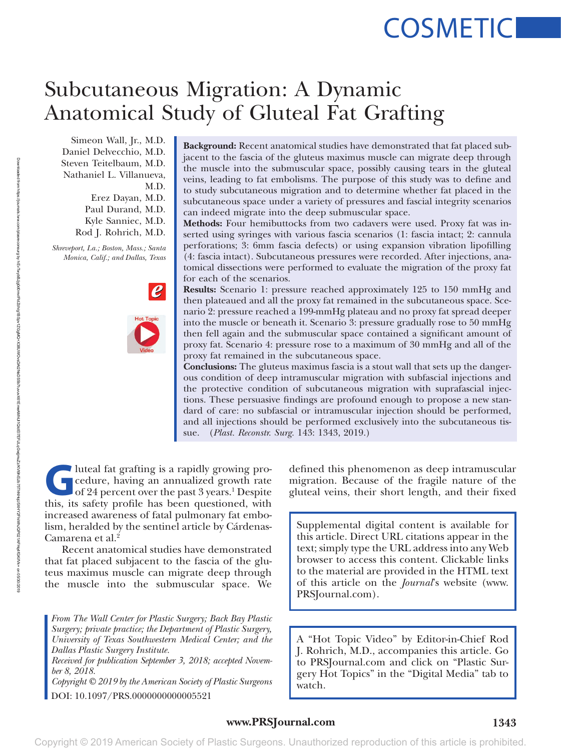# **COSMETIC**

# Subcutaneous Migration: A Dynamic Anatomical Study of Gluteal Fat Grafting

Simeon Wall, Jr., M.D. Daniel Delvecchio, M.D. Steven Teitelbaum, M.D. Nathaniel L. Villanueva, M.D. Erez Dayan, M.D. Paul Durand, M.D. Kyle Sanniec, M.D. Rod J. Rohrich, M.D.

*Shreveport, La.; Boston, Mass.; Santa Monica, Calif.; and Dallas, Texas*



**Background:** Recent anatomical studies have demonstrated that fat placed subjacent to the fascia of the gluteus maximus muscle can migrate deep through the muscle into the submuscular space, possibly causing tears in the gluteal veins, leading to fat embolisms. The purpose of this study was to define and to study subcutaneous migration and to determine whether fat placed in the subcutaneous space under a variety of pressures and fascial integrity scenarios can indeed migrate into the deep submuscular space.

**Methods:** Four hemibuttocks from two cadavers were used. Proxy fat was inserted using syringes with various fascia scenarios (1: fascia intact; 2: cannula perforations; 3: 6mm fascia defects) or using expansion vibration lipofilling (4: fascia intact). Subcutaneous pressures were recorded. After injections, anatomical dissections were performed to evaluate the migration of the proxy fat for each of the scenarios.

**Results:** Scenario 1: pressure reached approximately 125 to 150 mmHg and then plateaued and all the proxy fat remained in the subcutaneous space. Scenario 2: pressure reached a 199-mmHg plateau and no proxy fat spread deeper into the muscle or beneath it. Scenario 3: pressure gradually rose to 50 mmHg then fell again and the submuscular space contained a significant amount of proxy fat. Scenario 4: pressure rose to a maximum of 30 mmHg and all of the proxy fat remained in the subcutaneous space.

**Conclusions:** The gluteus maximus fascia is a stout wall that sets up the dangerous condition of deep intramuscular migration with subfascial injections and the protective condition of subcutaneous migration with suprafascial injections. These persuasive findings are profound enough to propose a new standard of care: no subfascial or intramuscular injection should be performed, and all injections should be performed exclusively into the subcutaneous tissue. (*Plast. Reconstr. Surg.* 143: 1343, 2019.)

I luteal fat grafting is a rapidly growing pro-<br>
cedure, having an annualized growth rate<br>
of 24 percent over the past 3 years.<sup>1</sup> Despite<br>
this its safety profile has been questioned with cedure, having an annualized growth rate of 24 percent over the past 3 years.<sup>1</sup> Despite this, its safety profile has been questioned, with increased awareness of fatal pulmonary fat embolism, heralded by the sentinel article by Cárdenas-Camarena et al.<sup>2</sup>

Recent anatomical studies have demonstrated that fat placed subjacent to the fascia of the gluteus maximus muscle can migrate deep through the muscle into the submuscular space. We

*From The Wall Center for Plastic Surgery; Back Bay Plastic Surgery; private practice; the Department of Plastic Surgery, University of Texas Southwestern Medical Center; and the Dallas Plastic Surgery Institute.*

*Received for publication September 3, 2018; accepted November 8, 2018.*

*Copyright © 2019 by the American Society of Plastic Surgeons* DOI: 10.1097/PRS.0000000000005521

defined this phenomenon as deep intramuscular migration. Because of the fragile nature of the gluteal veins, their short length, and their fixed

Supplemental digital content is available for this article. Direct URL citations appear in the text; simply type the URL address into any Web browser to access this content. Clickable links to the material are provided in the HTML text of this article on the *Journal*'s website [\(www.](www.PRSJournal.com) [PRSJournal.com](www.PRSJournal.com)).

A "Hot Topic Video" by Editor-in-Chief Rod J. Rohrich, M.D., accompanies this article. Go to PRSJournal.com and click on "Plastic Surgery Hot Topics" in the "Digital Media" tab to watch.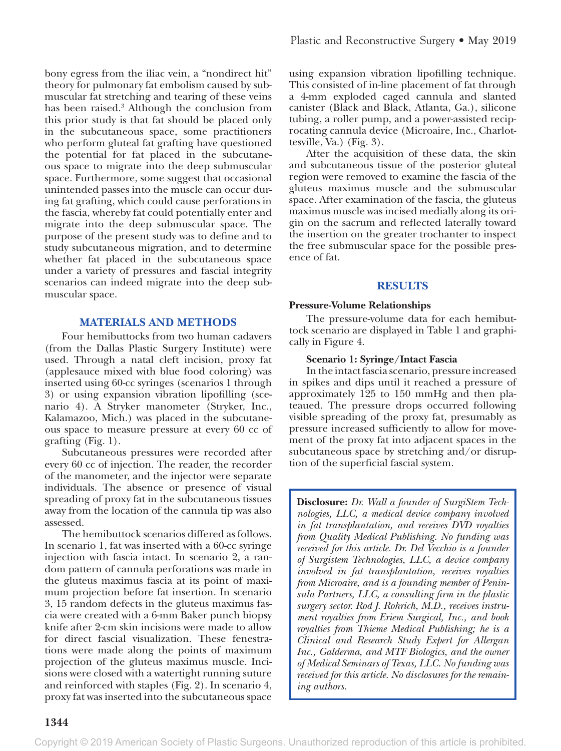bony egress from the iliac vein, a "nondirect hit" theory for pulmonary fat embolism caused by submuscular fat stretching and tearing of these veins has been raised.3 Although the conclusion from this prior study is that fat should be placed only in the subcutaneous space, some practitioners who perform gluteal fat grafting have questioned the potential for fat placed in the subcutaneous space to migrate into the deep submuscular space. Furthermore, some suggest that occasional unintended passes into the muscle can occur during fat grafting, which could cause perforations in the fascia, whereby fat could potentially enter and migrate into the deep submuscular space. The purpose of the present study was to define and to study subcutaneous migration, and to determine whether fat placed in the subcutaneous space under a variety of pressures and fascial integrity scenarios can indeed migrate into the deep submuscular space.

#### **MATERIALS AND METHODS**

Four hemibuttocks from two human cadavers (from the Dallas Plastic Surgery Institute) were used. Through a natal cleft incision, proxy fat (applesauce mixed with blue food coloring) was inserted using 60-cc syringes (scenarios 1 through 3) or using expansion vibration lipofilling (scenario 4). A Stryker manometer (Stryker, Inc., Kalamazoo, Mich.) was placed in the subcutaneous space to measure pressure at every 60 cc of grafting (Fig. 1).

Subcutaneous pressures were recorded after every 60 cc of injection. The reader, the recorder of the manometer, and the injector were separate individuals. The absence or presence of visual spreading of proxy fat in the subcutaneous tissues away from the location of the cannula tip was also assessed.

The hemibuttock scenarios differed as follows. In scenario 1, fat was inserted with a 60-cc syringe injection with fascia intact. In scenario 2, a random pattern of cannula perforations was made in the gluteus maximus fascia at its point of maximum projection before fat insertion. In scenario 3, 15 random defects in the gluteus maximus fascia were created with a 6-mm Baker punch biopsy knife after 2-cm skin incisions were made to allow for direct fascial visualization. These fenestrations were made along the points of maximum projection of the gluteus maximus muscle. Incisions were closed with a watertight running suture and reinforced with staples (Fig. 2). In scenario 4, proxy fat was inserted into the subcutaneous space

using expansion vibration lipofilling technique. This consisted of in-line placement of fat through a 4-mm exploded caged cannula and slanted canister (Black and Black, Atlanta, Ga.), silicone tubing, a roller pump, and a power-assisted reciprocating cannula device (Microaire, Inc., Charlottesville, Va.) (Fig. 3).

After the acquisition of these data, the skin and subcutaneous tissue of the posterior gluteal region were removed to examine the fascia of the gluteus maximus muscle and the submuscular space. After examination of the fascia, the gluteus maximus muscle was incised medially along its origin on the sacrum and reflected laterally toward the insertion on the greater trochanter to inspect the free submuscular space for the possible presence of fat.

# **RESULTS**

# **Pressure-Volume Relationships**

The pressure-volume data for each hemibuttock scenario are displayed in Table 1 and graphically in Figure 4.

# **Scenario 1: Syringe/Intact Fascia**

In the intact fascia scenario, pressure increased in spikes and dips until it reached a pressure of approximately 125 to 150 mmHg and then plateaued. The pressure drops occurred following visible spreading of the proxy fat, presumably as pressure increased sufficiently to allow for movement of the proxy fat into adjacent spaces in the subcutaneous space by stretching and/or disruption of the superficial fascial system.

**Disclosure:** *Dr. Wall a founder of SurgiStem Technologies, LLC, a medical device company involved in fat transplantation, and receives DVD royalties from Quality Medical Publishing. No funding was received for this article. Dr. Del Vecchio is a founder of Surgistem Technologies, LLC, a device company involved in fat transplantation, receives royalties from Microaire, and is a founding member of Peninsula Partners, LLC, a consulting firm in the plastic surgery sector. Rod J. Rohrich, M.D., receives instrument royalties from Eriem Surgical, Inc., and book royalties from Thieme Medical Publishing; he is a Clinical and Research Study Expert for Allergan Inc., Galderma, and MTF Biologics, and the owner of Medical Seminars of Texas, LLC. No funding was received for this article. No disclosures for the remaining authors.*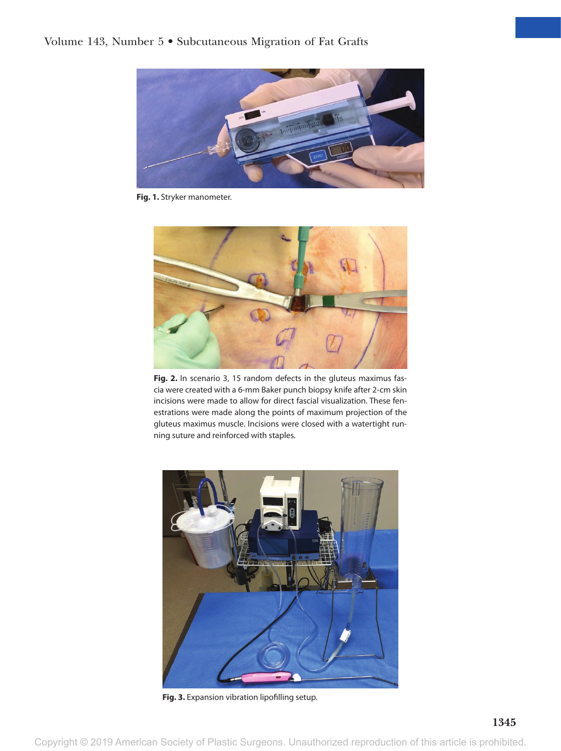

**Fig. 1.** Stryker manometer.



Fig. 2. In scenario 3, 15 random defects in the gluteus maximus fascia were created with a 6-mm Baker punch biopsy knife after 2-cm skin incisions were made to allow for direct fascial visualization. These fenestrations were made along the points of maximum projection of the gluteus maximus muscle. Incisions were closed with a watertight running suture and reinforced with staples.



**Fig. 3.** Expansion vibration lipofilling setup.

Copyright © 2019 American Society of Plastic Surgeons. Unauthorized reproduction of this article is prohibited.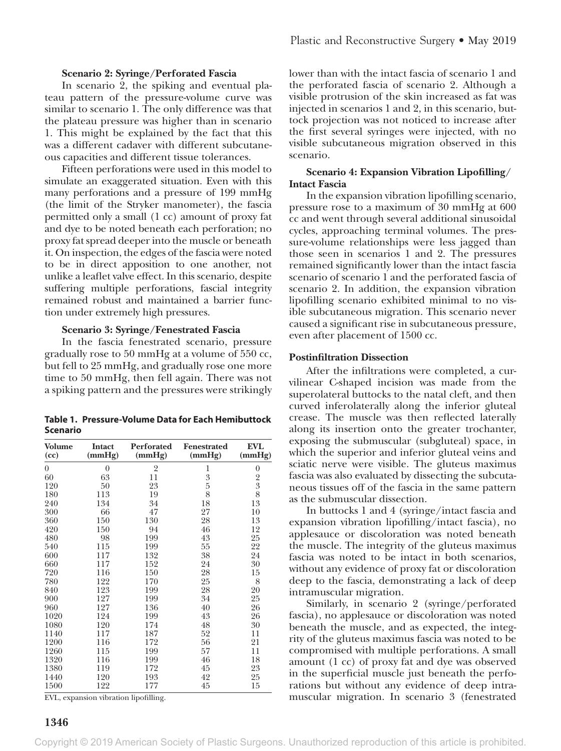# **Scenario 2: Syringe/Perforated Fascia**

In scenario 2, the spiking and eventual plateau pattern of the pressure-volume curve was similar to scenario 1. The only difference was that the plateau pressure was higher than in scenario 1. This might be explained by the fact that this was a different cadaver with different subcutaneous capacities and different tissue tolerances.

Fifteen perforations were used in this model to simulate an exaggerated situation. Even with this many perforations and a pressure of 199 mmHg (the limit of the Stryker manometer), the fascia permitted only a small (1 cc) amount of proxy fat and dye to be noted beneath each perforation; no proxy fat spread deeper into the muscle or beneath it. On inspection, the edges of the fascia were noted to be in direct apposition to one another, not unlike a leaflet valve effect. In this scenario, despite suffering multiple perforations, fascial integrity remained robust and maintained a barrier function under extremely high pressures.

#### **Scenario 3: Syringe/Fenestrated Fascia**

In the fascia fenestrated scenario, pressure gradually rose to 50 mmHg at a volume of 550 cc, but fell to 25 mmHg, and gradually rose one more time to 50 mmHg, then fell again. There was not a spiking pattern and the pressures were strikingly

**Table 1. Pressure-Volume Data for Each Hemibuttock Scenario**

| <b>Volume</b><br>(cc) | <b>Intact</b><br>(mmHg) | Perforated<br>(mmHg) | <b>Fenestrated</b><br>(mmHg) | <b>EVL</b><br>(mmHg) |
|-----------------------|-------------------------|----------------------|------------------------------|----------------------|
| $\theta$              | $\overline{0}$          | 2                    | 1                            | $\boldsymbol{0}$     |
| 60                    | 63                      | 11                   | 3                            |                      |
| 120                   | 50                      | 23                   | $\overline{5}$               | $\frac{2}{3}$ 8      |
| 180                   | 113                     | 19                   | 8                            |                      |
| 240                   | 134                     | 34                   | 18                           | 13                   |
| 300                   | 66                      | 47                   | 27                           | 10                   |
| 360                   | 150                     | 130                  | 28                           | 13                   |
| 420                   | 150                     | 94                   | 46                           | 12                   |
| 480                   | 98                      | 199                  | 43                           | 25                   |
| 540                   | 115                     | 199                  | 55                           | 22                   |
| 600                   | 117                     | 132                  | 38                           | 24                   |
| 660                   | 117                     | 152                  | 24                           | 30                   |
| 720                   | 116                     | 150                  | 28                           | 15                   |
| 780                   | 122                     | 170                  | 25                           | 8                    |
| 840                   | 123                     | 199                  | 28                           | 20                   |
| 900                   | 127                     | 199                  | 34                           | 25                   |
| 960                   | 127                     | 136                  | 40                           | 26                   |
| 1020                  | 124                     | 199                  | 43                           | 26                   |
| 1080                  | 120                     | 174                  | 48                           | 30                   |
| 1140                  | 117                     | 187                  | 52                           | 11                   |
| 1200                  | 116                     | 172                  | 56                           | 21                   |
| 1260                  | 115                     | 199                  | 57                           | 11                   |
| 1320                  | 116                     | 199                  | 46                           | 18                   |
| 1380                  | 119                     | 172                  | 45                           | 23                   |
| 1440                  | 120                     | 193                  | 42                           | 25                   |
| 1500                  | 122                     | 177                  | 45                           | 15                   |

EVL, expansion vibration lipofilling.

**1346**

lower than with the intact fascia of scenario 1 and the perforated fascia of scenario 2. Although a visible protrusion of the skin increased as fat was injected in scenarios 1 and 2, in this scenario, buttock projection was not noticed to increase after the first several syringes were injected, with no visible subcutaneous migration observed in this scenario.

# **Scenario 4: Expansion Vibration Lipofilling/ Intact Fascia**

In the expansion vibration lipofilling scenario, pressure rose to a maximum of 30 mmHg at 600 cc and went through several additional sinusoidal cycles, approaching terminal volumes. The pressure-volume relationships were less jagged than those seen in scenarios 1 and 2. The pressures remained significantly lower than the intact fascia scenario of scenario 1 and the perforated fascia of scenario 2. In addition, the expansion vibration lipofilling scenario exhibited minimal to no visible subcutaneous migration. This scenario never caused a significant rise in subcutaneous pressure, even after placement of 1500 cc.

# **Postinfiltration Dissection**

After the infiltrations were completed, a curvilinear C-shaped incision was made from the superolateral buttocks to the natal cleft, and then curved inferolaterally along the inferior gluteal crease. The muscle was then reflected laterally along its insertion onto the greater trochanter, exposing the submuscular (subgluteal) space, in which the superior and inferior gluteal veins and sciatic nerve were visible. The gluteus maximus fascia was also evaluated by dissecting the subcutaneous tissues off of the fascia in the same pattern as the submuscular dissection.

In buttocks 1 and 4 (syringe/intact fascia and expansion vibration lipofilling/intact fascia), no applesauce or discoloration was noted beneath the muscle. The integrity of the gluteus maximus fascia was noted to be intact in both scenarios, without any evidence of proxy fat or discoloration deep to the fascia, demonstrating a lack of deep intramuscular migration.

Similarly, in scenario 2 (syringe/perforated fascia), no applesauce or discoloration was noted beneath the muscle, and as expected, the integrity of the gluteus maximus fascia was noted to be compromised with multiple perforations. A small amount (1 cc) of proxy fat and dye was observed in the superficial muscle just beneath the perforations but without any evidence of deep intramuscular migration. In scenario 3 (fenestrated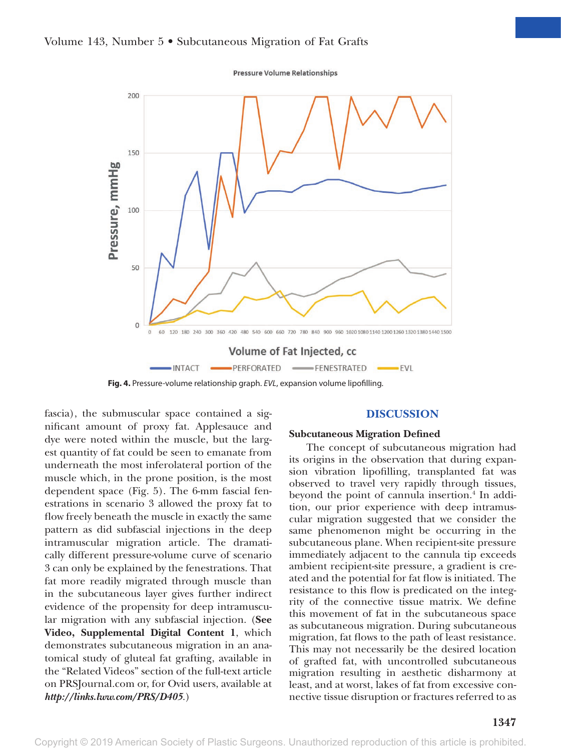



**Fig. 4.** Pressure-volume relationship graph. *EVL*, expansion volume lipofilling.

fascia), the submuscular space contained a significant amount of proxy fat. Applesauce and dye were noted within the muscle, but the largest quantity of fat could be seen to emanate from underneath the most inferolateral portion of the muscle which, in the prone position, is the most dependent space (Fig. 5). The 6-mm fascial fenestrations in scenario 3 allowed the proxy fat to flow freely beneath the muscle in exactly the same pattern as did subfascial injections in the deep intramuscular migration article. The dramatically different pressure-volume curve of scenario 3 can only be explained by the fenestrations. That fat more readily migrated through muscle than in the subcutaneous layer gives further indirect evidence of the propensity for deep intramuscular migration with any subfascial injection. (**See Video, Supplemental Digital Content 1**, which demonstrates subcutaneous migration in an anatomical study of gluteal fat grafting, available in the "Related Videos" section of the full-text article on PRSJournal.com or, for Ovid users, available at *<http://links.lww.com/PRS/D405>*.)

#### **DISCUSSION**

#### **Subcutaneous Migration Defined**

The concept of subcutaneous migration had its origins in the observation that during expansion vibration lipofilling, transplanted fat was observed to travel very rapidly through tissues, beyond the point of cannula insertion.<sup>4</sup> In addition, our prior experience with deep intramuscular migration suggested that we consider the same phenomenon might be occurring in the subcutaneous plane. When recipient-site pressure immediately adjacent to the cannula tip exceeds ambient recipient-site pressure, a gradient is created and the potential for fat flow is initiated. The resistance to this flow is predicated on the integrity of the connective tissue matrix. We define this movement of fat in the subcutaneous space as subcutaneous migration. During subcutaneous migration, fat flows to the path of least resistance. This may not necessarily be the desired location of grafted fat, with uncontrolled subcutaneous migration resulting in aesthetic disharmony at least, and at worst, lakes of fat from excessive connective tissue disruption or fractures referred to as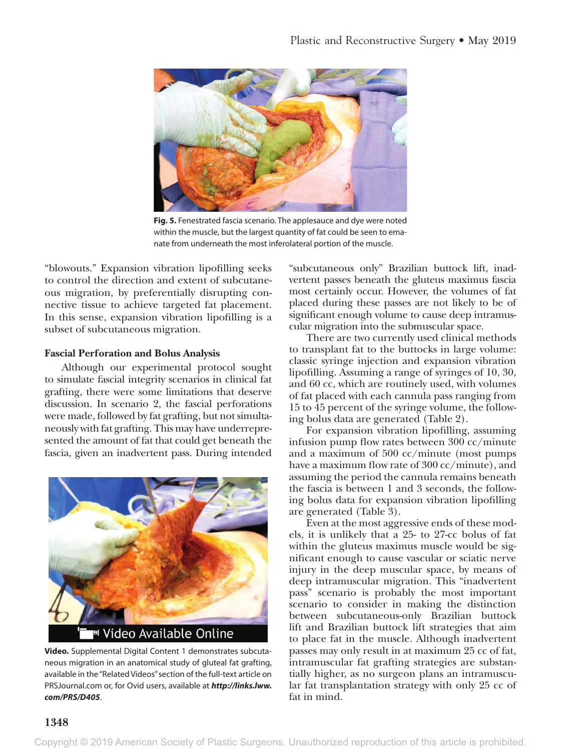

**Fig. 5.** Fenestrated fascia scenario. The applesauce and dye were noted within the muscle, but the largest quantity of fat could be seen to emanate from underneath the most inferolateral portion of the muscle.

"blowouts." Expansion vibration lipofilling seeks to control the direction and extent of subcutaneous migration, by preferentially disrupting connective tissue to achieve targeted fat placement. In this sense, expansion vibration lipofilling is a subset of subcutaneous migration.

# **Fascial Perforation and Bolus Analysis**

Although our experimental protocol sought to simulate fascial integrity scenarios in clinical fat grafting, there were some limitations that deserve discussion. In scenario 2, the fascial perforations were made, followed by fat grafting, but not simultaneously with fat grafting. This may have underrepresented the amount of fat that could get beneath the fascia, given an inadvertent pass. During intended



**Video.** Supplemental Digital Content 1 demonstrates subcutaneous migration in an anatomical study of gluteal fat grafting, available in the "Related Videos" section of the full-text article on PRSJournal.com or, for Ovid users, available at *[http://links.lww.](http://links.lww.com/PRS/D405) [com/PRS/D405](http://links.lww.com/PRS/D405)*.

"subcutaneous only" Brazilian buttock lift, inadvertent passes beneath the gluteus maximus fascia most certainly occur. However, the volumes of fat placed during these passes are not likely to be of significant enough volume to cause deep intramuscular migration into the submuscular space.

There are two currently used clinical methods to transplant fat to the buttocks in large volume: classic syringe injection and expansion vibration lipofilling. Assuming a range of syringes of 10, 30, and 60 cc, which are routinely used, with volumes of fat placed with each cannula pass ranging from 15 to 45 percent of the syringe volume, the following bolus data are generated (Table 2).

For expansion vibration lipofilling, assuming infusion pump flow rates between 300 cc/minute and a maximum of 500 cc/minute (most pumps have a maximum flow rate of 300 cc/minute), and assuming the period the cannula remains beneath the fascia is between 1 and 3 seconds, the following bolus data for expansion vibration lipofilling are generated (Table 3).

Even at the most aggressive ends of these models, it is unlikely that a 25- to 27-cc bolus of fat within the gluteus maximus muscle would be significant enough to cause vascular or sciatic nerve injury in the deep muscular space, by means of deep intramuscular migration. This "inadvertent pass" scenario is probably the most important scenario to consider in making the distinction between subcutaneous-only Brazilian buttock lift and Brazilian buttock lift strategies that aim to place fat in the muscle. Although inadvertent passes may only result in at maximum 25 cc of fat, intramuscular fat grafting strategies are substantially higher, as no surgeon plans an intramuscular fat transplantation strategy with only 25 cc of fat in mind.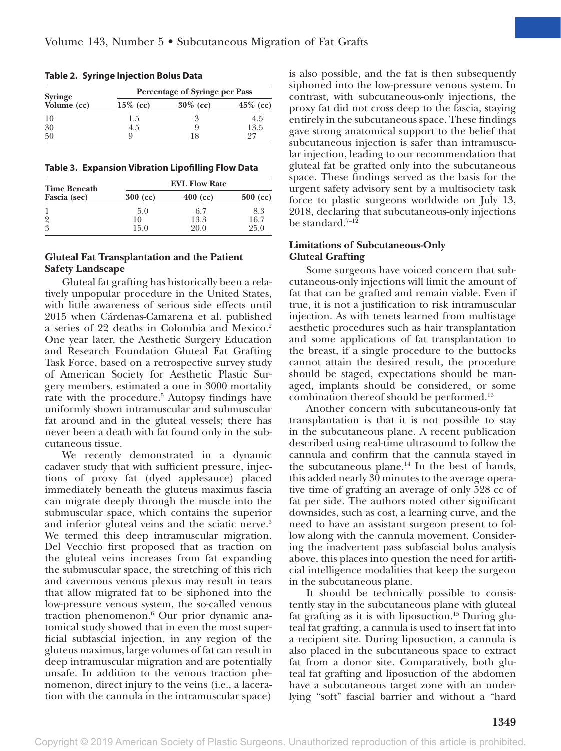| <b>Syringe</b> | Percentage of Syringe per Pass |             |             |  |
|----------------|--------------------------------|-------------|-------------|--|
| Volume (cc)    | $15\%$ (cc)                    | $30\%$ (cc) | $45\%$ (cc) |  |
| 10             | 1.5                            | 3           | 4.5         |  |
| 30             | 4.5                            | q           | 13.5        |  |
| 50             | g                              | 18          | 97          |  |

**Table 2. Syringe Injection Bolus Data**

**Table 3. Expansion Vibration Lipofilling Flow Data**

| <b>Time Beneath</b> | <b>EVL Flow Rate</b> |            |            |  |
|---------------------|----------------------|------------|------------|--|
| Fascia (sec)        | $300$ (cc)           | $400$ (cc) | $500$ (cc) |  |
|                     | 5.0                  | 6.7        | 8.3        |  |
| 9                   | 10                   | 13.3       | 16.7       |  |
| 3                   | 15.0                 | 20.0       | 25.0       |  |

# **Gluteal Fat Transplantation and the Patient Safety Landscape**

Gluteal fat grafting has historically been a relatively unpopular procedure in the United States, with little awareness of serious side effects until 2015 when Cárdenas-Camarena et al. published a series of 22 deaths in Colombia and Mexico.2 One year later, the Aesthetic Surgery Education and Research Foundation Gluteal Fat Grafting Task Force, based on a retrospective survey study of American Society for Aesthetic Plastic Surgery members, estimated a one in 3000 mortality rate with the procedure.<sup>5</sup> Autopsy findings have uniformly shown intramuscular and submuscular fat around and in the gluteal vessels; there has never been a death with fat found only in the subcutaneous tissue.

We recently demonstrated in a dynamic cadaver study that with sufficient pressure, injections of proxy fat (dyed applesauce) placed immediately beneath the gluteus maximus fascia can migrate deeply through the muscle into the submuscular space, which contains the superior and inferior gluteal veins and the sciatic nerve.<sup>3</sup> We termed this deep intramuscular migration. Del Vecchio first proposed that as traction on the gluteal veins increases from fat expanding the submuscular space, the stretching of this rich and cavernous venous plexus may result in tears that allow migrated fat to be siphoned into the low-pressure venous system, the so-called venous traction phenomenon.6 Our prior dynamic anatomical study showed that in even the most superficial subfascial injection, in any region of the gluteus maximus, large volumes of fat can result in deep intramuscular migration and are potentially unsafe. In addition to the venous traction phenomenon, direct injury to the veins (i.e., a laceration with the cannula in the intramuscular space) is also possible, and the fat is then subsequently siphoned into the low-pressure venous system. In contrast, with subcutaneous-only injections, the proxy fat did not cross deep to the fascia, staying entirely in the subcutaneous space. These findings gave strong anatomical support to the belief that subcutaneous injection is safer than intramuscular injection, leading to our recommendation that gluteal fat be grafted only into the subcutaneous space. These findings served as the basis for the urgent safety advisory sent by a multisociety task force to plastic surgeons worldwide on July 13, 2018, declaring that subcutaneous-only injections be standard. $7-12$ 

# **Limitations of Subcutaneous-Only Gluteal Grafting**

Some surgeons have voiced concern that subcutaneous-only injections will limit the amount of fat that can be grafted and remain viable. Even if true, it is not a justification to risk intramuscular injection. As with tenets learned from multistage aesthetic procedures such as hair transplantation and some applications of fat transplantation to the breast, if a single procedure to the buttocks cannot attain the desired result, the procedure should be staged, expectations should be managed, implants should be considered, or some combination thereof should be performed.13

Another concern with subcutaneous-only fat transplantation is that it is not possible to stay in the subcutaneous plane. A recent publication described using real-time ultrasound to follow the cannula and confirm that the cannula stayed in the subcutaneous plane. $^{14}$  In the best of hands, this added nearly 30 minutes to the average operative time of grafting an average of only 528 cc of fat per side. The authors noted other significant downsides, such as cost, a learning curve, and the need to have an assistant surgeon present to follow along with the cannula movement. Considering the inadvertent pass subfascial bolus analysis above, this places into question the need for artificial intelligence modalities that keep the surgeon in the subcutaneous plane.

It should be technically possible to consistently stay in the subcutaneous plane with gluteal fat grafting as it is with liposuction.<sup>15</sup> During gluteal fat grafting, a cannula is used to insert fat into a recipient site. During liposuction, a cannula is also placed in the subcutaneous space to extract fat from a donor site. Comparatively, both gluteal fat grafting and liposuction of the abdomen have a subcutaneous target zone with an underlying "soft" fascial barrier and without a "hard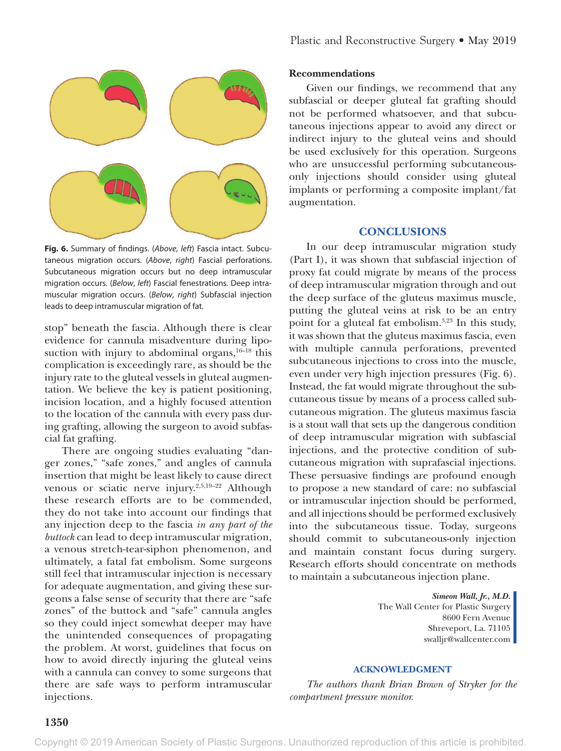

**Fig. 6.** Summary of findings. (*Above*, *left*) Fascia intact. Subcutaneous migration occurs. (*Above*, *right*) Fascial perforations. Subcutaneous migration occurs but no deep intramuscular migration occurs. (*Below*, *left*) Fascial fenestrations. Deep intramuscular migration occurs. (*Below*, *right*) Subfascial injection leads to deep intramuscular migration of fat.

stop" beneath the fascia. Although there is clear evidence for cannula misadventure during liposuction with injury to abdominal organs,  $16-18$  this complication is exceedingly rare, as should be the injury rate to the gluteal vessels in gluteal augmentation. We believe the key is patient positioning, incision location, and a highly focused attention to the location of the cannula with every pass during grafting, allowing the surgeon to avoid subfascial fat grafting.

There are ongoing studies evaluating "danger zones," "safe zones," and angles of cannula insertion that might be least likely to cause direct venous or sciatic nerve injury.<sup>2,5,19-22</sup> Although these research efforts are to be commended, they do not take into account our findings that any injection deep to the fascia *in any part of the buttock* can lead to deep intramuscular migration, a venous stretch-tear-siphon phenomenon, and ultimately, a fatal fat embolism. Some surgeons still feel that intramuscular injection is necessary for adequate augmentation, and giving these surgeons a false sense of security that there are "safe zones" of the buttock and "safe" cannula angles so they could inject somewhat deeper may have the unintended consequences of propagating the problem. At worst, guidelines that focus on how to avoid directly injuring the gluteal veins with a cannula can convey to some surgeons that there are safe ways to perform intramuscular injections.

# **Recommendations**

Given our findings, we recommend that any subfascial or deeper gluteal fat grafting should not be performed whatsoever, and that subcutaneous injections appear to avoid any direct or indirect injury to the gluteal veins and should be used exclusively for this operation. Surgeons who are unsuccessful performing subcutaneousonly injections should consider using gluteal implants or performing a composite implant/fat augmentation.

# **CONCLUSIONS**

In our deep intramuscular migration study (Part I), it was shown that subfascial injection of proxy fat could migrate by means of the process of deep intramuscular migration through and out the deep surface of the gluteus maximus muscle, putting the gluteal veins at risk to be an entry point for a gluteal fat embolism.3,23 In this study, it was shown that the gluteus maximus fascia, even with multiple cannula perforations, prevented subcutaneous injections to cross into the muscle, even under very high injection pressures (Fig. 6). Instead, the fat would migrate throughout the subcutaneous tissue by means of a process called subcutaneous migration. The gluteus maximus fascia is a stout wall that sets up the dangerous condition of deep intramuscular migration with subfascial injections, and the protective condition of subcutaneous migration with suprafascial injections. These persuasive findings are profound enough to propose a new standard of care: no subfascial or intramuscular injection should be performed, and all injections should be performed exclusively into the subcutaneous tissue. Today, surgeons should commit to subcutaneous-only injection and maintain constant focus during surgery. Research efforts should concentrate on methods to maintain a subcutaneous injection plane.

> *Simeon Wall, Jr., M.D.* The Wall Center for Plastic Surgery 8600 Fern Avenue Shreveport, La. 71105 [swalljr@wallcenter.com](mailto:swalljr@wallcenter.com)

# **ACKNOWLEDGMENT**

*The authors thank Brian Brown of Stryker for the compartment pressure monitor.*